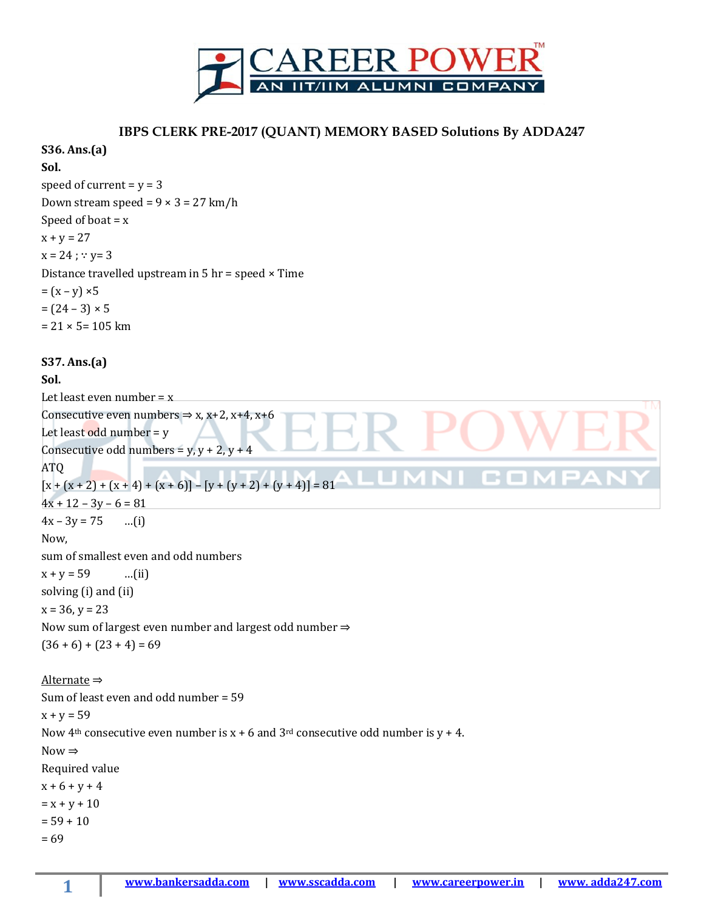

#### **IBPS CLERK PRE-2017 (QUANT) MEMORY BASED Solutions By ADDA247**

# **S36. Ans.(a) Sol.**  speed of current  $= y = 3$ Down stream speed =  $9 \times 3 = 27$  km/h Speed of boat  $= x$  $x + y = 27$  $x = 24$ ;  $\because y = 3$ Distance travelled upstream in 5 hr = speed × Time  $=(x - y) \times 5$  $= (24 - 3) \times 5$  $= 21 \times 5 = 105$  km **S37. Ans.(a) Sol.** Let least even number  $= x$ Consecutive even numbers  $\Rightarrow$  x, x+2, x+4, x+6 Let least odd number =  $y$ Consecutive odd numbers =  $y, y + 2, y + 4$ ATQ VI COM  $[x + (x + 2) + (x + 4) + (x + 6)] - [y + (y + 2) + (y + 4)] = 81$ LI M  $4x + 12 - 3y - 6 = 81$  $4x - 3y = 75$  ...(i) Now, sum of smallest even and odd numbers  $x + y = 59$  ...(ii) solving (i) and (ii)  $x = 36, y = 23$ Now sum of largest even number and largest odd number ⇒  $(36 + 6) + (23 + 4) = 69$ Alternate ⇒ Sum of least even and odd number = 59  $x + y = 59$ Now 4<sup>th</sup> consecutive even number is  $x + 6$  and  $3<sup>rd</sup>$  consecutive odd number is  $y + 4$ . Now  $\Rightarrow$ Required value  $x + 6 + y + 4$  $= x + y + 10$  $= 59 + 10$ = 69

**1**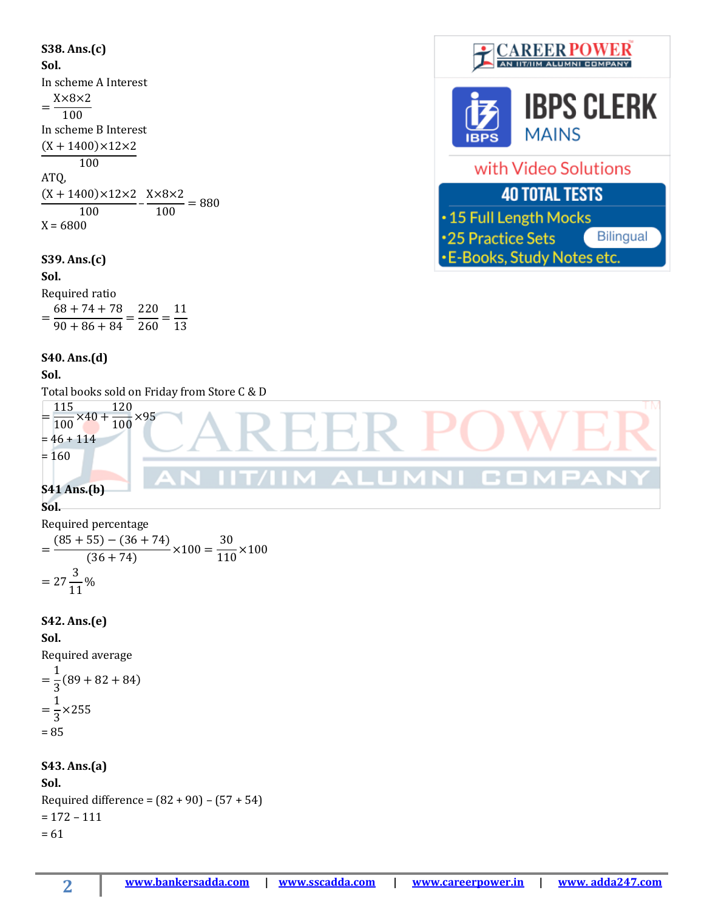**S38. Ans.(c) CAREER POWER** AN IIT/IIM ALUMNI COMPANY **Sol.** In scheme A Interest X×8×2  $=\frac{1100}{100}$ In scheme B Interest  $(X + 1400) \times 12 \times 2$ 100 ATQ,  $(X + 1400) \times 12 \times 2$  $X\times8\times2$  $\frac{100}{100}$  $\frac{100}{100} = 880$  $X = 6800$ **S39. Ans.(c) Sol.** Required ratio  $68 + 74 + 78$ 220 11 =  $\frac{58+11+18}{90+86+84} =$  $\frac{260}{260}$  = 13 **S40. Ans.(d) Sol.**

**IBPS CLERK MAINS** with Video Solutions **40 TOTAL TESTS** .15 Full Length Mocks \*25 Practice Sets Bilingual

**-E-Books, Study Notes etc.** 



#### **Sol.**

Required percentage

$$
= \frac{(85+55) - (36+74)}{(36+74)} \times 100 = \frac{30}{110} \times 100
$$

$$
= 27\frac{3}{11}\%
$$

#### **S42. Ans.(e)**

**Sol.**

Required average

$$
=\frac{1}{3}(89+82+84)
$$
  
=  $\frac{1}{3}$ ×255  
= 85

# **S43. Ans.(a) Sol.**

Required difference =  $(82 + 90) - (57 + 54)$  $= 172 - 111$  $= 61$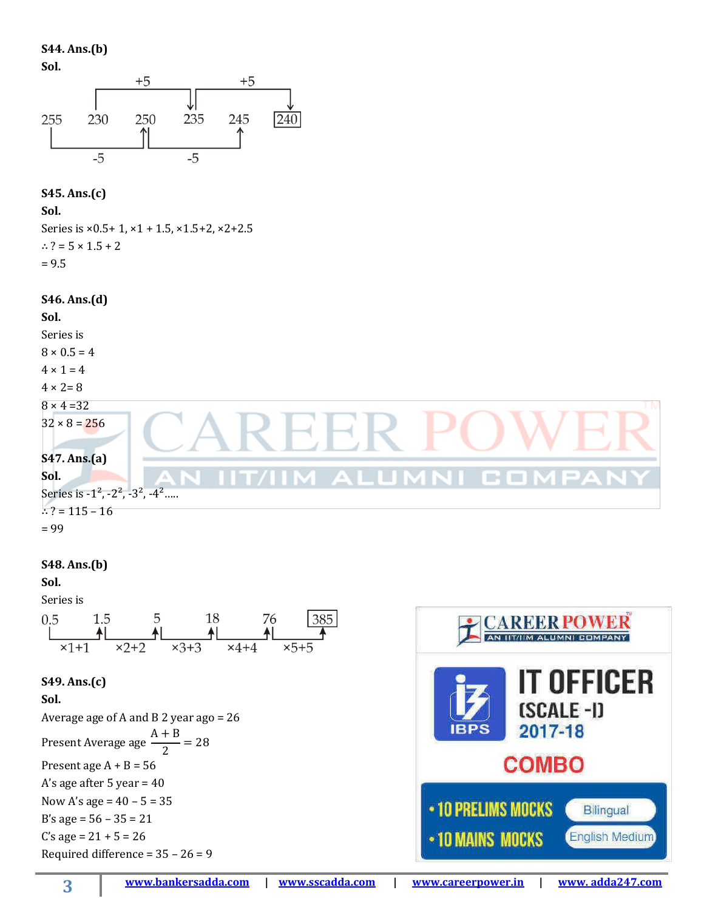**S44. Ans.(b)**

**Sol.** 



## **S45. Ans.(c)**

**Sol.** 

Series is  $\times$ 0.5+1,  $\times$ 1 + 1.5,  $\times$ 1.5+2,  $\times$ 2+2.5 ∴ ? =  $5 \times 1.5 + 2$  $= 9.5$ 

#### **S46. Ans.(d)**



## **S48. Ans.(b)**

**Sol.** 

Series is



#### **S49. Ans.(c)**

**Sol.**

Average age of A and B 2 year ago = 26 Present Average age  $A + B$  $\frac{1}{2}$  = 28 Present age  $A + B = 56$ A's age after 5 year = 40 Now A's age =  $40 - 5 = 35$ B's age = 56 – 35 = 21 C's age =  $21 + 5 = 26$ Required difference =  $35 - 26 = 9$ 

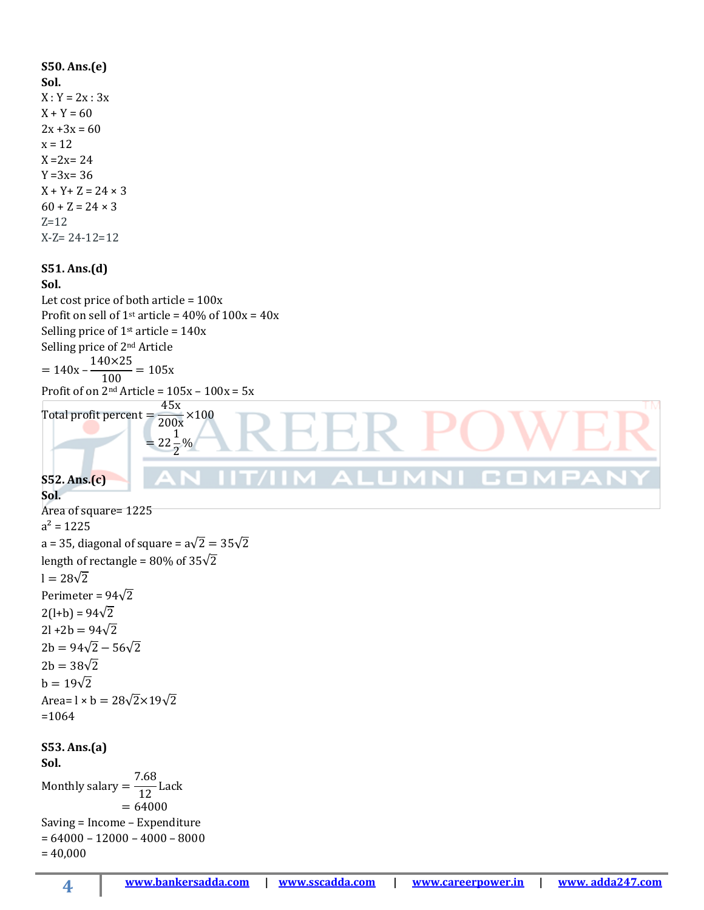**S50. Ans.(e) Sol.**  $X: Y = 2x : 3x$  $X + Y = 60$  $2x + 3x = 60$  $x = 12$  $X = 2x = 24$  $Y = 3x = 36$  $X + Y + Z = 24 \times 3$  $60 + Z = 24 \times 3$  $Z=12$ X-Z= 24-12=12 **S51. Ans.(d) Sol.** Let cost price of both article =  $100x$ Profit on sell of  $1$ <sup>st</sup> article =  $40\%$  of  $100x = 40x$ Selling price of  $1<sup>st</sup>$  article =  $140x$ Selling price of 2nd Article 140×25  $= 140x \frac{100}{100} = 105x$ Profit of on  $2<sup>nd</sup>$  Article =  $105x - 100x = 5x$ 45x Total profit percent =  $\frac{100}{200x} \times 100$ EER -1  $= 22$  $\frac{1}{2}\%$ **MALUMNICON S52. Ans.(c) Sol.** Area of square= 1225  $a^2 = 1225$ a = 35, diagonal of square =  $a\sqrt{2} = 35\sqrt{2}$ length of rectangle =  $80\%$  of  $35\sqrt{2}$  $l = 28\sqrt{2}$ Perimeter =  $94\sqrt{2}$  $2(l+b) = 94\sqrt{2}$  $2l + 2b = 94\sqrt{2}$  $2b = 94\sqrt{2} - 56\sqrt{2}$  $2b = 38\sqrt{2}$  $b = 19\sqrt{2}$ Area=  $l \times b = 28\sqrt{2} \times 19\sqrt{2}$ =1064 **S53. Ans.(a) Sol.** 7.68 Monthly salary =  $\frac{188}{12}$  Lack  $= 64000$ Saving = Income – Expenditure  $= 64000 - 12000 - 4000 - 8000$  $= 40,000$ 

**4**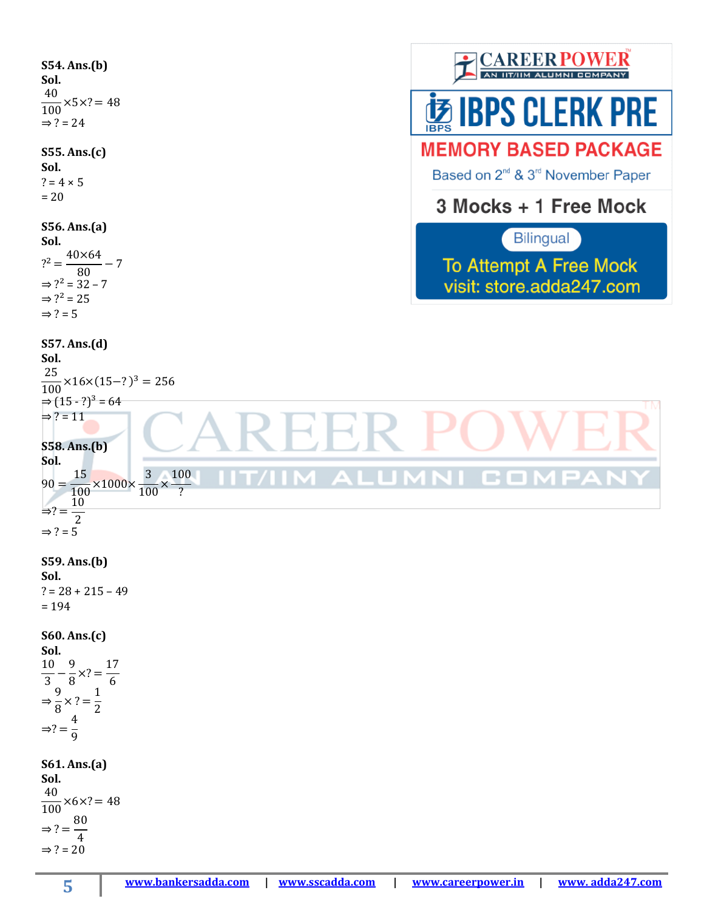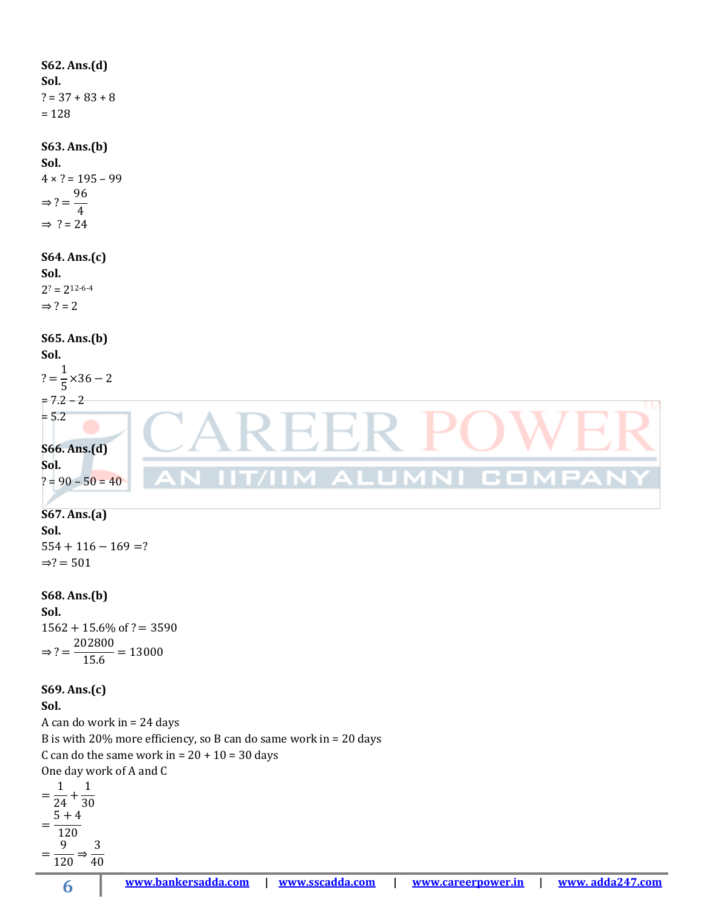**S62. Ans.(d) Sol.**  $? = 37 + 83 + 8$ = 128 **S63. Ans.(b) Sol.**   $4 \times ? = 195 - 99$ 96  $\Rightarrow$  ? = 4  $\Rightarrow$  ? = 24 **S64. Ans.(c) Sol.**  $2^? = 2^{12-6-4}$  $\Rightarrow$  ? = 2 **S65. Ans.(b) Sol.** 1  $? =$  $\frac{1}{5}$  × 36 – 2  $= 7.2 - 2$  $= 5.2$ ⊀. Н. **S66. Ans.(d) Sol. ALUM** VI CO  $? = 90 - 50 = 40$ 

## **S67. Ans.(a) Sol.**  $554 + 116 - 169 = ?$  $\Rightarrow$ ? = 501

**S68. Ans.(b) Sol.**  $1562 + 15.6\%$  of ? = 3590  $\Rightarrow$  ? = 202800  $\frac{28888}{15.6} = 13000$ 

#### **S69. Ans.(c)**

**Sol.**

A can do work in = 24 days B is with 20% more efficiency, so B can do same work in = 20 days C can do the same work in =  $20 + 10 = 30$  days One day work of A and C

= 1  $\frac{1}{24}$  + 1 30 =  $5 + 4$ 120 = 9  $\frac{1}{120}$   $\Rightarrow$ 3 40

**6**